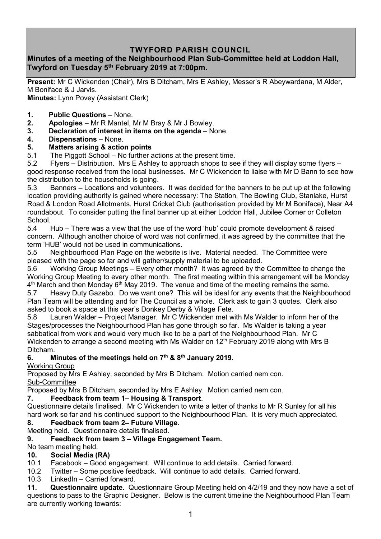# **TWYFORD PARISH COUNCIL**

## **Minutes of a meeting of the Neighbourhood Plan Sub-Committee held at Loddon Hall, Twyford on Tuesday 5th February 2019 at 7:00pm.**

**Present:** Mr C Wickenden (Chair), Mrs B Ditcham, Mrs E Ashley, Messer's R Abeywardana, M Alder, M Boniface & J Jarvis. **Minutes:** Lynn Povey (Assistant Clerk)

- **1. Public Questions**  None.
- **2. Apologies** Mr R Mantel, Mr M Bray & Mr J Bowley.
- **3. Declaration of interest in items on the agenda**  None.
- **4. Dispensations**  None.

## **5. Matters arising & action points**

5.1 The Piggott School – No further actions at the present time.

5.2 Flyers – Distribution. Mrs E Ashley to approach shops to see if they will display some flyers – good response received from the local businesses. Mr C Wickenden to liaise with Mr D Bann to see how the distribution to the households is going.

5.3 Banners – Locations and volunteers. It was decided for the banners to be put up at the following location providing authority is gained where necessary: The Station, The Bowling Club, Stanlake, Hurst Road & London Road Allotments, Hurst Cricket Club (authorisation provided by Mr M Boniface), Near A4 roundabout. To consider putting the final banner up at either Loddon Hall, Jubilee Corner or Colleton School.

5.4 Hub – There was a view that the use of the word 'hub' could promote development & raised concern. Although another choice of word was not confirmed, it was agreed by the committee that the term 'HUB' would not be used in communications.

5.5 Neighbourhood Plan Page on the website is live. Material needed. The Committee were pleased with the page so far and will gather/supply material to be uploaded.

5.6 Working Group Meetings – Every other month? It was agreed by the Committee to change the Working Group Meeting to every other month. The first meeting within this arrangement will be Monday  $4^{\text{th}}$  March and then Monday 6 $^{\text{th}}$  May 2019. The venue and time of the meeting remains the same.

5.7 Heavy Duty Gazebo. Do we want one? This will be ideal for any events that the Neighbourhood Plan Team will be attending and for The Council as a whole. Clerk ask to gain 3 quotes. Clerk also asked to book a space at this year's Donkey Derby & Village Fete.<br>5.8 Lauren Walder – Proiect Manager. Mr C Wickenden met w

5.8 Lauren Walder – Project Manager. Mr C Wickenden met with Ms Walder to inform her of the Stages/processes the Neighbourhood Plan has gone through so far. Ms Walder is taking a year sabbatical from work and would very much like to be a part of the Neighbourhood Plan. Mr C Wickenden to arrange a second meeting with Ms Walder on 12<sup>th</sup> February 2019 along with Mrs B Ditcham.

## **6. Minutes of the meetings held on 7 th & 8th January 2019.**

Working Group

Proposed by Mrs E Ashley, seconded by Mrs B Ditcham. Motion carried nem con. Sub-Committee

Proposed by Mrs B Ditcham, seconded by Mrs E Ashley. Motion carried nem con.

## **7. Feedback from team 1– Housing & Transport**.

Questionnaire details finalised. Mr C Wickenden to write a letter of thanks to Mr R Sunley for all his hard work so far and his continued support to the Neighbourhood Plan. It is very much appreciated.

## **8. Feedback from team 2– Future Village**.

Meeting held. Questionnaire details finalised.

## **9. Feedback from team 3 – Village Engagement Team.**

## No team meeting held.

## **10. Social Media (RA)**

10.1 Facebook – Good engagement. Will continue to add details. Carried forward.

10.2 Twitter – Some positive feedback. Will continue to add details. Carried forward.

10.3 LinkedIn – Carried forward.

**11. Questionnaire update.** Questionnaire Group Meeting held on 4/2/19 and they now have a set of questions to pass to the Graphic Designer. Below is the current timeline the Neighbourhood Plan Team are currently working towards: